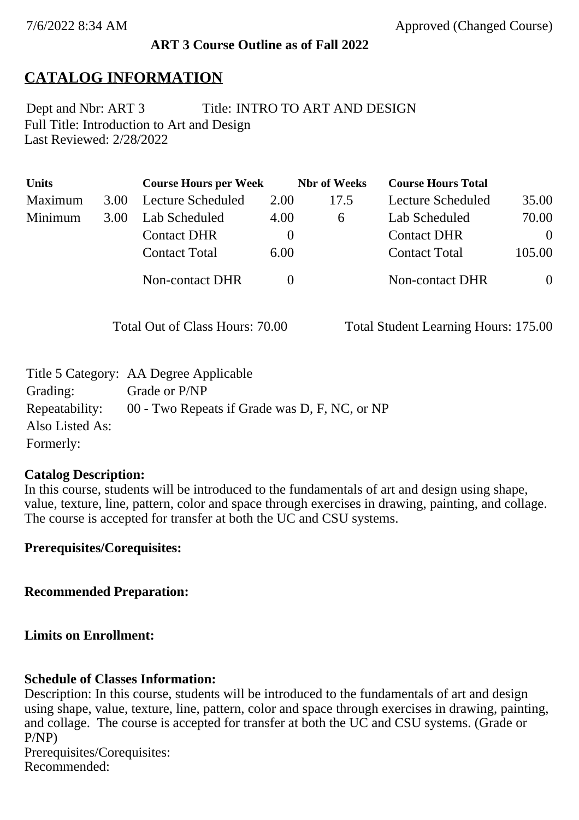### **ART 3 Course Outline as of Fall 2022**

## **CATALOG INFORMATION**

Full Title: Introduction to Art and Design Last Reviewed: 2/28/2022 Dept and Nbr: ART 3 Title: INTRO TO ART AND DESIGN

| <b>Units</b> |      | <b>Course Hours per Week</b> |          | <b>Nbr</b> of Weeks | <b>Course Hours Total</b> |          |
|--------------|------|------------------------------|----------|---------------------|---------------------------|----------|
| Maximum      | 3.00 | <b>Lecture Scheduled</b>     | 2.00     | 17.5                | Lecture Scheduled         | 35.00    |
| Minimum      | 3.00 | Lab Scheduled                | 4.00     | 6                   | Lab Scheduled             | 70.00    |
|              |      | <b>Contact DHR</b>           | $\theta$ |                     | <b>Contact DHR</b>        | $\Omega$ |
|              |      | <b>Contact Total</b>         | 6.00     |                     | <b>Contact Total</b>      | 105.00   |
|              |      | Non-contact DHR              |          |                     | <b>Non-contact DHR</b>    | $\theta$ |

Total Out of Class Hours: 70.00 Total Student Learning Hours: 175.00

|                 | Title 5 Category: AA Degree Applicable        |
|-----------------|-----------------------------------------------|
| Grading:        | Grade or P/NP                                 |
| Repeatability:  | 00 - Two Repeats if Grade was D, F, NC, or NP |
| Also Listed As: |                                               |
| Formerly:       |                                               |

#### **Catalog Description:**

In this course, students will be introduced to the fundamentals of art and design using shape, value, texture, line, pattern, color and space through exercises in drawing, painting, and collage. The course is accepted for transfer at both the UC and CSU systems.

**Prerequisites/Corequisites:**

**Recommended Preparation:**

### **Limits on Enrollment:**

### **Schedule of Classes Information:**

Description: In this course, students will be introduced to the fundamentals of art and design using shape, value, texture, line, pattern, color and space through exercises in drawing, painting, and collage. The course is accepted for transfer at both the UC and CSU systems. (Grade or P/NP) Prerequisites/Corequisites: Recommended: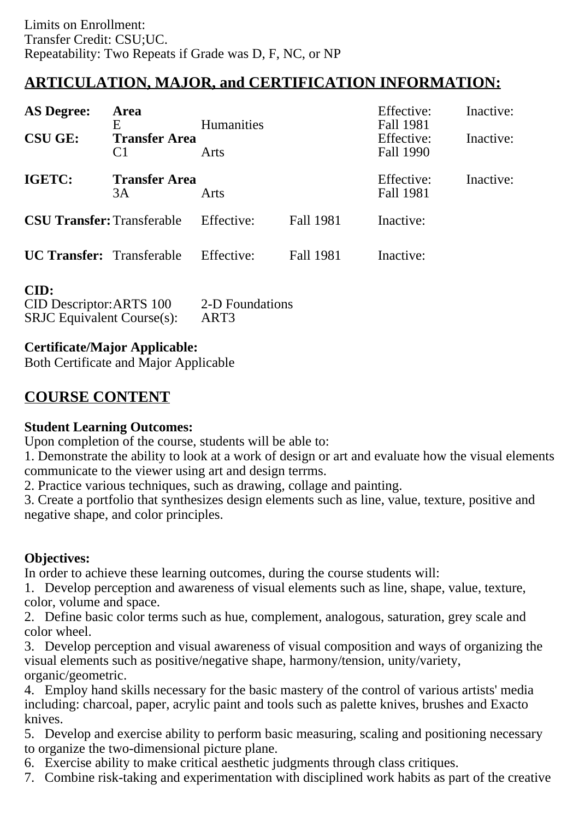# **ARTICULATION, MAJOR, and CERTIFICATION INFORMATION:**

| <b>AS Degree:</b>                 | Area<br>E                              | <b>Humanities</b> |           | Effective:<br><b>Fall 1981</b> | Inactive: |
|-----------------------------------|----------------------------------------|-------------------|-----------|--------------------------------|-----------|
| <b>CSU GE:</b>                    | <b>Transfer Area</b><br>C <sub>1</sub> | Arts              |           | Effective:<br>Fall 1990        | Inactive: |
| IGETC:                            | <b>Transfer Area</b><br>3A             | Arts              |           | Effective:<br>Fall 1981        | Inactive: |
| <b>CSU Transfer: Transferable</b> |                                        | Effective:        | Fall 1981 | Inactive:                      |           |
| <b>UC Transfer:</b> Transferable  |                                        | Effective:        | Fall 1981 | Inactive:                      |           |
| CID:<br>CID Descriptor: ARTS 100  |                                        | 2-D Foundations   |           |                                |           |

| <b>SRJC</b> Equivalent Course(s): | ART3 |  |
|-----------------------------------|------|--|
|                                   |      |  |

## **Certificate/Major Applicable:**

[Both Certificate and Major Applicable](SR_ClassCheck.aspx?CourseKey=ART3)

# **COURSE CONTENT**

## **Student Learning Outcomes:**

Upon completion of the course, students will be able to:

1. Demonstrate the ability to look at a work of design or art and evaluate how the visual elements communicate to the viewer using art and design terrms.

2. Practice various techniques, such as drawing, collage and painting.

3. Create a portfolio that synthesizes design elements such as line, value, texture, positive and negative shape, and color principles.

## **Objectives:**

In order to achieve these learning outcomes, during the course students will:

1. Develop perception and awareness of visual elements such as line, shape, value, texture, color, volume and space.

2. Define basic color terms such as hue, complement, analogous, saturation, grey scale and color wheel.

3. Develop perception and visual awareness of visual composition and ways of organizing the visual elements such as positive/negative shape, harmony/tension, unity/variety, organic/geometric.

4. Employ hand skills necessary for the basic mastery of the control of various artists' media including: charcoal, paper, acrylic paint and tools such as palette knives, brushes and Exacto knives.

5. Develop and exercise ability to perform basic measuring, scaling and positioning necessary to organize the two-dimensional picture plane.

6. Exercise ability to make critical aesthetic judgments through class critiques.

7. Combine risk-taking and experimentation with disciplined work habits as part of the creative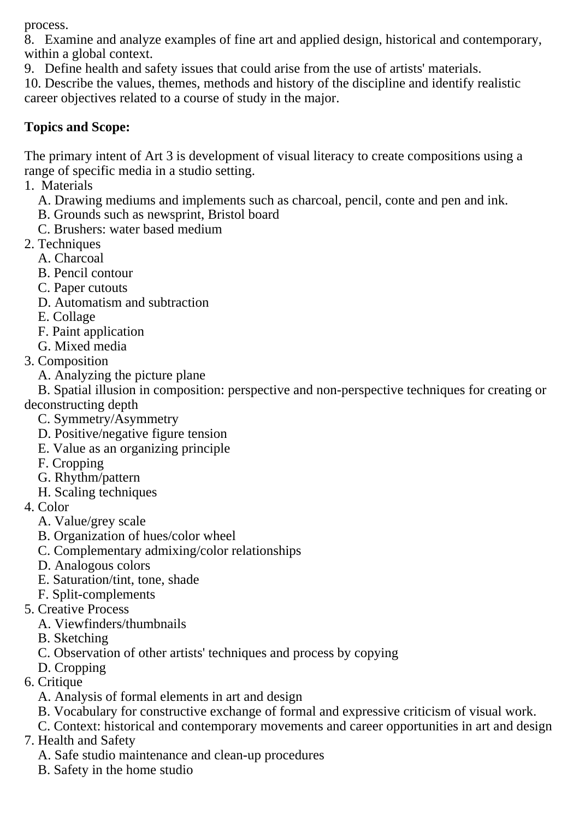process.

8. Examine and analyze examples of fine art and applied design, historical and contemporary, within a global context.

9. Define health and safety issues that could arise from the use of artists' materials.

10. Describe the values, themes, methods and history of the discipline and identify realistic career objectives related to a course of study in the major.

## **Topics and Scope:**

The primary intent of Art 3 is development of visual literacy to create compositions using a range of specific media in a studio setting.

1. Materials

- A. Drawing mediums and implements such as charcoal, pencil, conte and pen and ink.
- B. Grounds such as newsprint, Bristol board
- C. Brushers: water based medium
- 2. Techniques
	- A. Charcoal
	- B. Pencil contour
	- C. Paper cutouts
	- D. Automatism and subtraction
	- E. Collage
	- F. Paint application
	- G. Mixed media
- 3. Composition
	- A. Analyzing the picture plane

 B. Spatial illusion in composition: perspective and non-perspective techniques for creating or deconstructing depth

- C. Symmetry/Asymmetry
- D. Positive/negative figure tension
- E. Value as an organizing principle
- F. Cropping
- G. Rhythm/pattern
- H. Scaling techniques
- 4. Color
	- A. Value/grey scale
	- B. Organization of hues/color wheel
	- C. Complementary admixing/color relationships
	- D. Analogous colors
	- E. Saturation/tint, tone, shade
	- F. Split-complements
- 5. Creative Process
	- A. Viewfinders/thumbnails
	- B. Sketching
	- C. Observation of other artists' techniques and process by copying
	- D. Cropping
- 6. Critique
	- A. Analysis of formal elements in art and design
	- B. Vocabulary for constructive exchange of formal and expressive criticism of visual work.
	- C. Context: historical and contemporary movements and career opportunities in art and design
- 7. Health and Safety
	- A. Safe studio maintenance and clean-up procedures
	- B. Safety in the home studio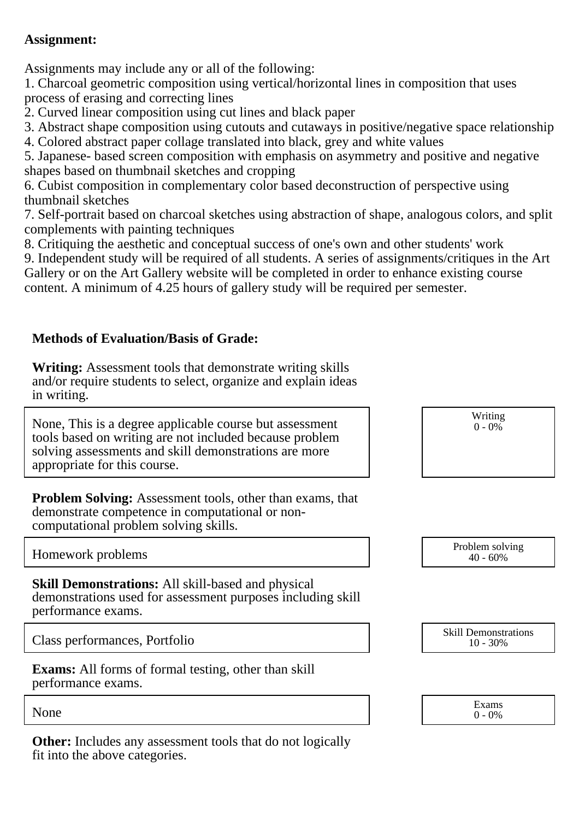### **Assignment:**

Assignments may include any or all of the following:

1. Charcoal geometric composition using vertical/horizontal lines in composition that uses process of erasing and correcting lines

2. Curved linear composition using cut lines and black paper

3. Abstract shape composition using cutouts and cutaways in positive/negative space relationship

4. Colored abstract paper collage translated into black, grey and white values

5. Japanese- based screen composition with emphasis on asymmetry and positive and negative shapes based on thumbnail sketches and cropping

6. Cubist composition in complementary color based deconstruction of perspective using thumbnail sketches

7. Self-portrait based on charcoal sketches using abstraction of shape, analogous colors, and split complements with painting techniques

8. Critiquing the aesthetic and conceptual success of one's own and other students' work

9. Independent study will be required of all students. A series of assignments/critiques in the Art Gallery or on the Art Gallery website will be completed in order to enhance existing course content. A minimum of 4.25 hours of gallery study will be required per semester.

## **Methods of Evaluation/Basis of Grade:**

**Writing:** Assessment tools that demonstrate writing skills and/or require students to select, organize and explain ideas in writing.

None, This is a degree applicable course but assessment tools based on writing are not included because problem solving assessments and skill demonstrations are more appropriate for this course.

**Problem Solving:** Assessment tools, other than exams, that demonstrate competence in computational or noncomputational problem solving skills.

Writing  $0 - 0\%$ 

40 - 60%

Homework problems Problem solving Problem solving Problem solving Problem solving Problem solving Problem solving

**Skill Demonstrations:** All skill-based and physical demonstrations used for assessment purposes including skill performance exams.

Class performances, Portfolio Skill Demonstrations

**Exams:** All forms of formal testing, other than skill performance exams.

**Other:** Includes any assessment tools that do not logically fit into the above categories.



None  $\sum_{0}^{1}$  Exams  $0 - 0\%$